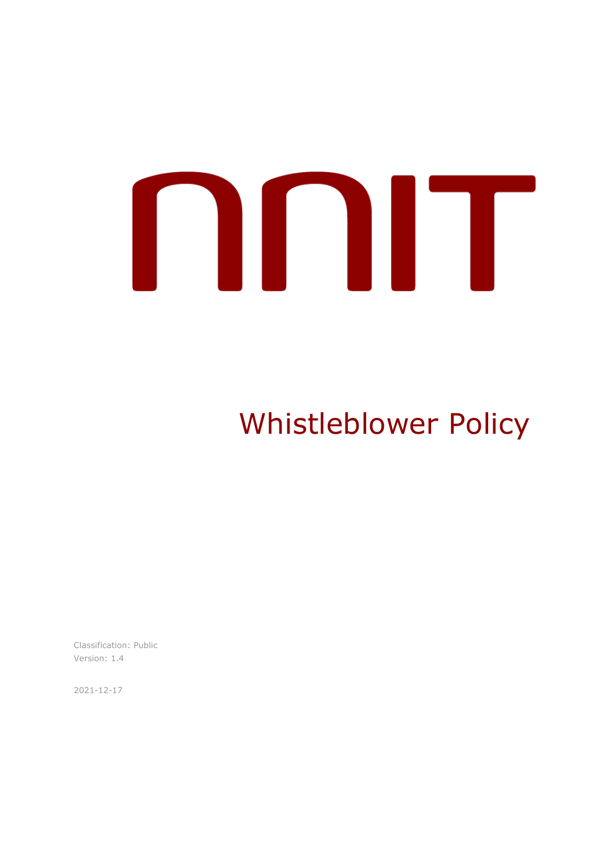# 

Whistleblower Policy

Classification: Public Version: 1.4

2021-12-17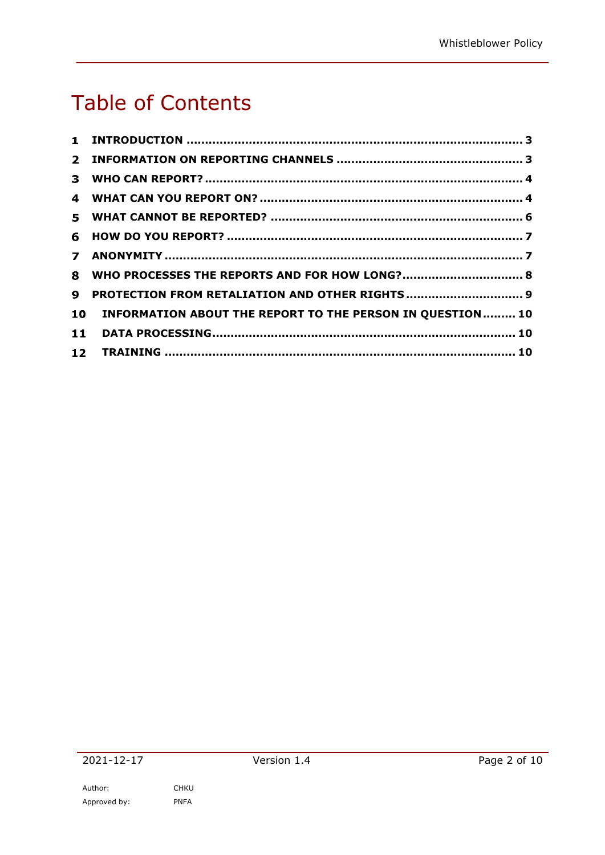# Table of Contents

|                 | 8 WHO PROCESSES THE REPORTS AND FOR HOW LONG? 8           |  |
|-----------------|-----------------------------------------------------------|--|
| 9.              | PROTECTION FROM RETALIATION AND OTHER RIGHTS  9           |  |
| 10              | INFORMATION ABOUT THE REPORT TO THE PERSON IN QUESTION 10 |  |
|                 |                                                           |  |
| 12 <sub>1</sub> |                                                           |  |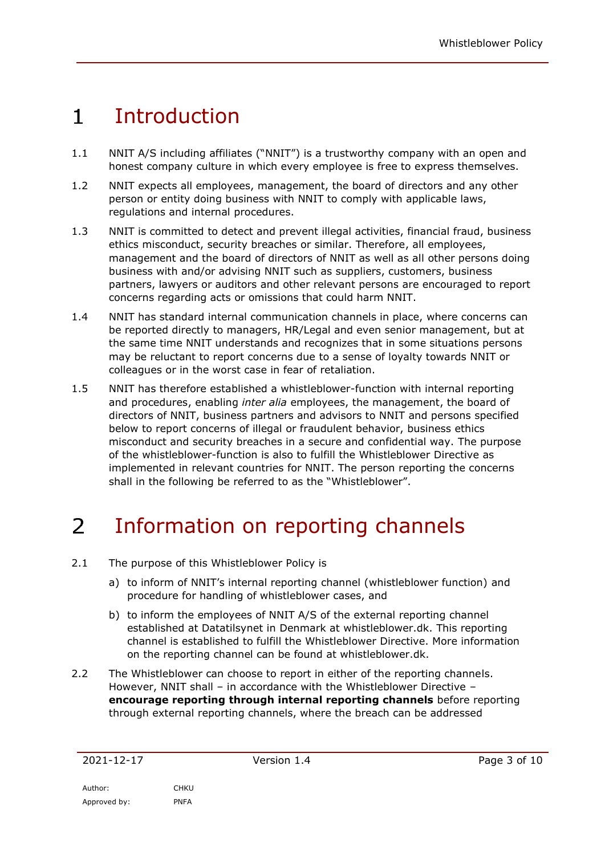### $\mathbf{1}$ Introduction

- 1.1 NNIT A/S including affiliates ("NNIT") is a trustworthy company with an open and honest company culture in which every employee is free to express themselves.
- 1.2 NNIT expects all employees, management, the board of directors and any other person or entity doing business with NNIT to comply with applicable laws, regulations and internal procedures.
- 1.3 NNIT is committed to detect and prevent illegal activities, financial fraud, business ethics misconduct, security breaches or similar. Therefore, all employees, management and the board of directors of NNIT as well as all other persons doing business with and/or advising NNIT such as suppliers, customers, business partners, lawyers or auditors and other relevant persons are encouraged to report concerns regarding acts or omissions that could harm NNIT.
- 1.4 NNIT has standard internal communication channels in place, where concerns can be reported directly to managers, HR/Legal and even senior management, but at the same time NNIT understands and recognizes that in some situations persons may be reluctant to report concerns due to a sense of loyalty towards NNIT or colleagues or in the worst case in fear of retaliation.
- 1.5 NNIT has therefore established a whistleblower-function with internal reporting and procedures, enabling *inter alia* employees, the management, the board of directors of NNIT, business partners and advisors to NNIT and persons specified below to report concerns of illegal or fraudulent behavior, business ethics misconduct and security breaches in a secure and confidential way. The purpose of the whistleblower-function is also to fulfill the Whistleblower Directive as implemented in relevant countries for NNIT. The person reporting the concerns shall in the following be referred to as the "Whistleblower".

### $\overline{2}$ Information on reporting channels

- 2.1 The purpose of this Whistleblower Policy is
	- a) to inform of NNIT's internal reporting channel (whistleblower function) and procedure for handling of whistleblower cases, and
	- b) to inform the employees of NNIT A/S of the external reporting channel established at Datatilsynet in Denmark at whistleblower.dk. This reporting channel is established to fulfill the Whistleblower Directive. More information on the reporting channel can be found at whistleblower.dk.
- 2.2 The Whistleblower can choose to report in either of the reporting channels. However, NNIT shall – in accordance with the Whistleblower Directive – **encourage reporting through internal reporting channels** before reporting through external reporting channels, where the breach can be addressed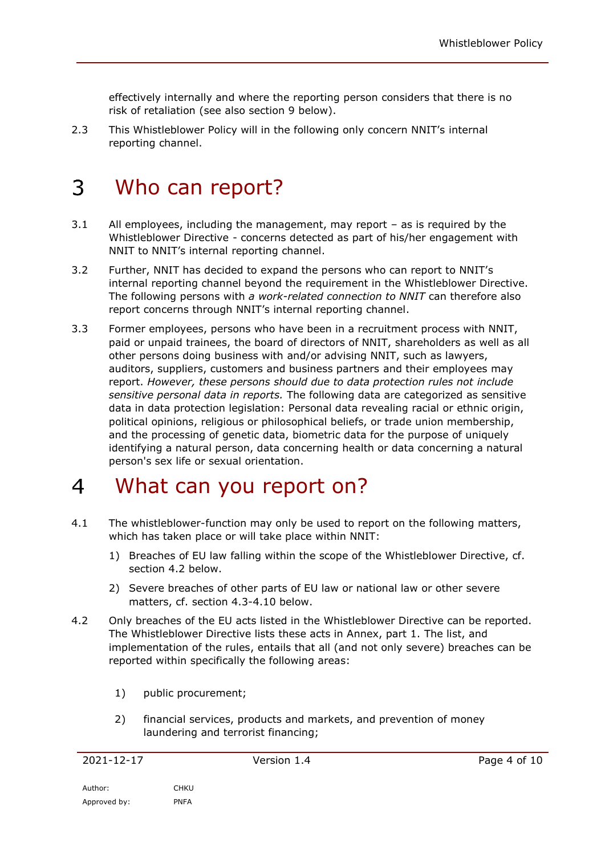effectively internally and where the reporting person considers that there is no risk of retaliation (see also section 9 below).

2.3 This Whistleblower Policy will in the following only concern NNIT's internal reporting channel.

### 3 Who can report?

- 3.1 All employees, including the management, may report as is required by the Whistleblower Directive - concerns detected as part of his/her engagement with NNIT to NNIT's internal reporting channel.
- 3.2 Further, NNIT has decided to expand the persons who can report to NNIT's internal reporting channel beyond the requirement in the Whistleblower Directive. The following persons with *a work-related connection to NNIT* can therefore also report concerns through NNIT's internal reporting channel.
- 3.3 Former employees, persons who have been in a recruitment process with NNIT, paid or unpaid trainees, the board of directors of NNIT, shareholders as well as all other persons doing business with and/or advising NNIT, such as lawyers, auditors, suppliers, customers and business partners and their employees may report. *However, these persons should due to data protection rules not include sensitive personal data in reports.* The following data are categorized as sensitive data in data protection legislation: Personal data revealing racial or ethnic origin, political opinions, religious or philosophical beliefs, or trade union membership, and the processing of genetic data, biometric data for the purpose of uniquely identifying a natural person, data concerning health or data concerning a natural person's sex life or sexual orientation.

### $\overline{4}$ What can you report on?

- 4.1 The whistleblower-function may only be used to report on the following matters, which has taken place or will take place within NNIT:
	- 1) Breaches of EU law falling within the scope of the Whistleblower Directive, cf. section 4.2 below.
	- 2) Severe breaches of other parts of EU law or national law or other severe matters, cf. section 4.3-4.10 below.
- 4.2 Only breaches of the EU acts listed in the Whistleblower Directive can be reported. The Whistleblower Directive lists these acts in Annex, part 1. The list, and implementation of the rules, entails that all (and not only severe) breaches can be reported within specifically the following areas:
	- 1) public procurement;
	- 2) financial services, products and markets, and prevention of money laundering and terrorist financing;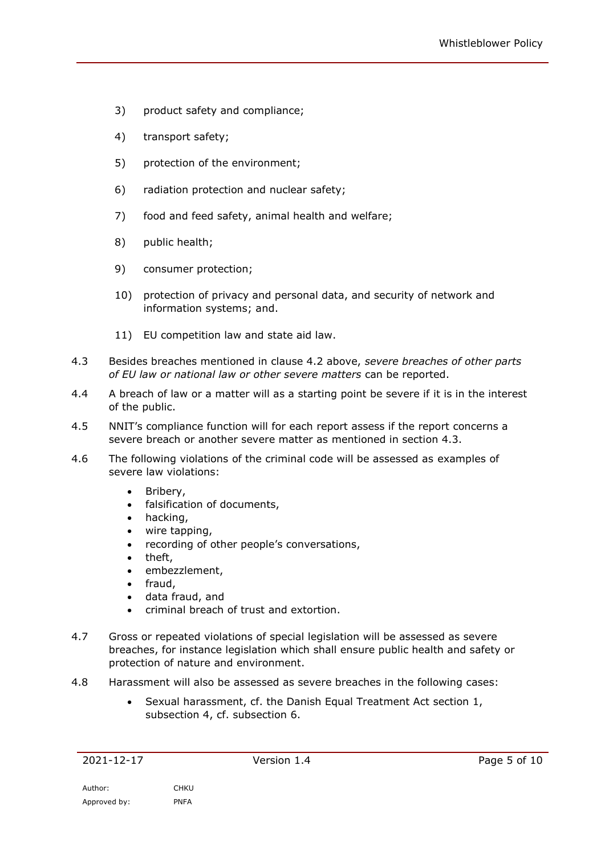- 3) product safety and compliance;
- 4) transport safety;
- 5) protection of the environment;
- 6) radiation protection and nuclear safety;
- 7) food and feed safety, animal health and welfare;
- 8) public health;
- 9) consumer protection;
- 10) protection of privacy and personal data, and security of network and information systems; and.
- 11) EU competition law and state aid law.
- 4.3 Besides breaches mentioned in clause 4.2 above, *severe breaches of other parts of EU law or national law or other severe matters* can be reported.
- 4.4 A breach of law or a matter will as a starting point be severe if it is in the interest of the public.
- 4.5 NNIT's compliance function will for each report assess if the report concerns a severe breach or another severe matter as mentioned in section 4.3.
- 4.6 The following violations of the criminal code will be assessed as examples of severe law violations:
	- Bribery,
	- falsification of documents,
	- hacking,
	- wire tapping,
	- recording of other people's conversations,
	- theft,
	- embezzlement,
	- fraud,
	- data fraud, and
	- criminal breach of trust and extortion.
- 4.7 Gross or repeated violations of special legislation will be assessed as severe breaches, for instance legislation which shall ensure public health and safety or protection of nature and environment.
- 4.8 Harassment will also be assessed as severe breaches in the following cases:
	- Sexual harassment, cf. the Danish Equal Treatment Act section 1, subsection 4, cf. subsection 6.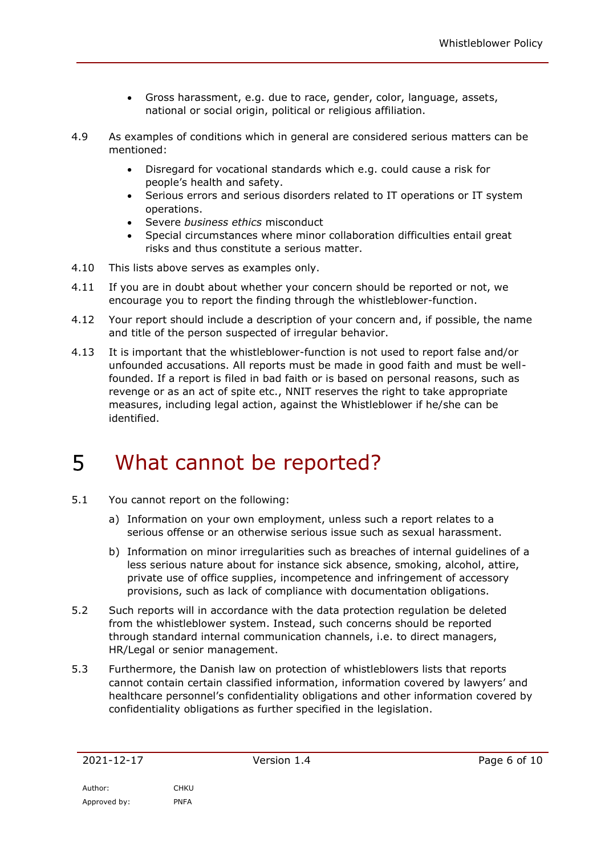- Gross harassment, e.g. due to race, gender, color, language, assets, national or social origin, political or religious affiliation.
- 4.9 As examples of conditions which in general are considered serious matters can be mentioned:
	- Disregard for vocational standards which e.g. could cause a risk for people's health and safety.
	- Serious errors and serious disorders related to IT operations or IT system operations.
	- Severe *business ethics* misconduct
	- Special circumstances where minor collaboration difficulties entail great risks and thus constitute a serious matter.
- 4.10 This lists above serves as examples only.
- 4.11 If you are in doubt about whether your concern should be reported or not, we encourage you to report the finding through the whistleblower-function.
- <span id="page-5-0"></span>4.12 Your report should include a description of your concern and, if possible, the name and title of the person suspected of irregular behavior.
- 4.13 It is important that the whistleblower-function is not used to report false and/or unfounded accusations. All reports must be made in good faith and must be wellfounded. If a report is filed in bad faith or is based on personal reasons, such as revenge or as an act of spite etc., NNIT reserves the right to take appropriate measures, including legal action, against the Whistleblower if he/she can be identified.

### 5 What cannot be reported?

- 5.1 You cannot report on the following:
	- a) Information on your own employment, unless such a report relates to a serious offense or an otherwise serious issue such as sexual harassment.
	- b) Information on minor irregularities such as breaches of internal guidelines of a less serious nature about for instance sick absence, smoking, alcohol, attire, private use of office supplies, incompetence and infringement of accessory provisions, such as lack of compliance with documentation obligations.
- 5.2 Such reports will in accordance with the data protection regulation be deleted from the whistleblower system. Instead, such concerns should be reported through standard internal communication channels, i.e. to direct managers, HR/Legal or senior management.
- 5.3 Furthermore, the Danish law on protection of whistleblowers lists that reports cannot contain certain classified information, information covered by lawyers' and healthcare personnel's confidentiality obligations and other information covered by confidentiality obligations as further specified in the legislation.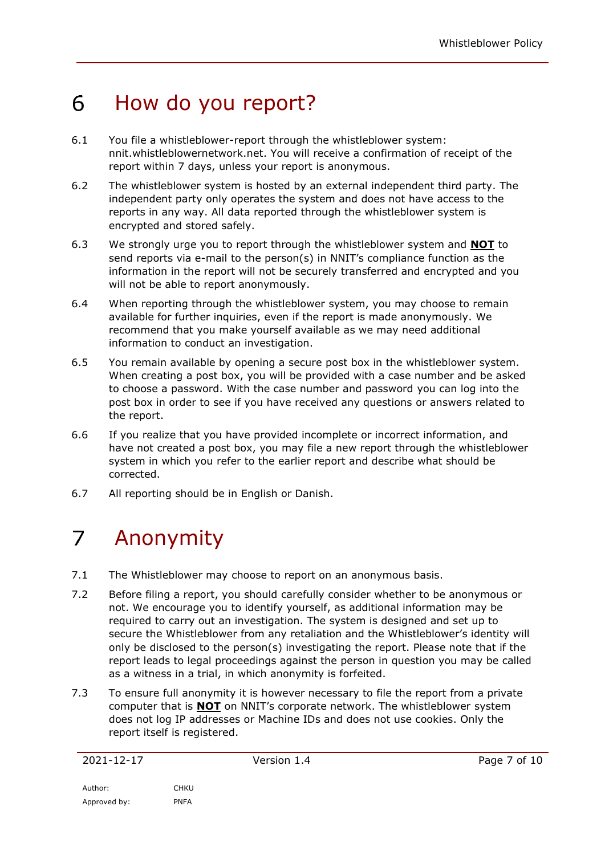### 6 How do you report?

- 6.1 You file a whistleblower-report through the whistleblower system: nnit.whistleblowernetwork.net. You will receive a confirmation of receipt of the report within 7 days, unless your report is anonymous.
- 6.2 The whistleblower system is hosted by an external independent third party. The independent party only operates the system and does not have access to the reports in any way. All data reported through the whistleblower system is encrypted and stored safely.
- 6.3 We strongly urge you to report through the whistleblower system and **NOT** to send reports via e-mail to the person(s) in NNIT's compliance function as the information in the report will not be securely transferred and encrypted and you will not be able to report anonymously.
- 6.4 When reporting through the whistleblower system, you may choose to remain available for further inquiries, even if the report is made anonymously. We recommend that you make yourself available as we may need additional information to conduct an investigation.
- 6.5 You remain available by opening a secure post box in the whistleblower system. When creating a post box, you will be provided with a case number and be asked to choose a password. With the case number and password you can log into the post box in order to see if you have received any questions or answers related to the report.
- 6.6 If you realize that you have provided incomplete or incorrect information, and have not created a post box, you may file a new report through the whistleblower system in which you refer to the earlier report and describe what should be corrected.
- 6.7 All reporting should be in English or Danish.

### $\overline{7}$ Anonymity

- 7.1 The Whistleblower may choose to report on an anonymous basis.
- 7.2 Before filing a report, you should carefully consider whether to be anonymous or not. We encourage you to identify yourself, as additional information may be required to carry out an investigation. The system is designed and set up to secure the Whistleblower from any retaliation and the Whistleblower's identity will only be disclosed to the person(s) investigating the report. Please note that if the report leads to legal proceedings against the person in question you may be called as a witness in a trial, in which anonymity is forfeited.
- 7.3 To ensure full anonymity it is however necessary to file the report from a private computer that is **NOT** on NNIT's corporate network. The whistleblower system does not log IP addresses or Machine IDs and does not use cookies. Only the report itself is registered.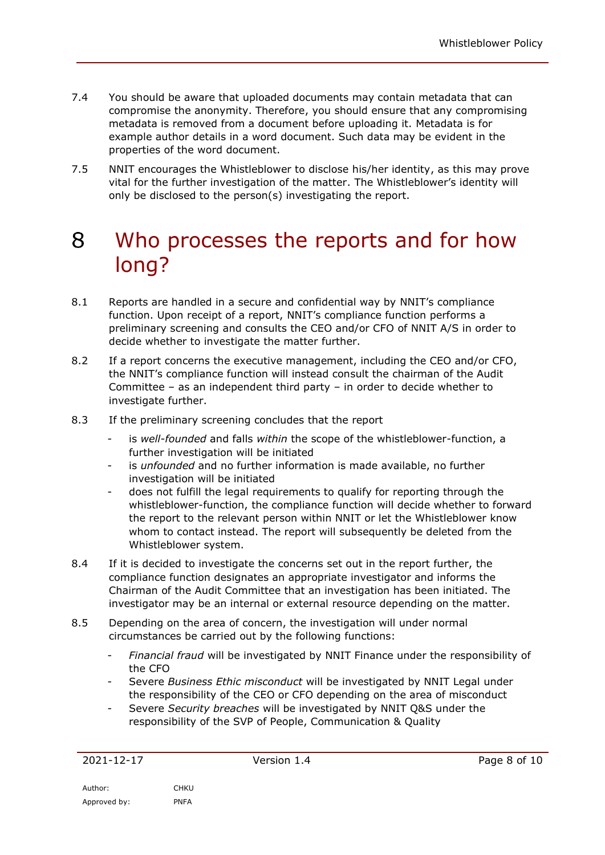- 7.4 You should be aware that uploaded documents may contain metadata that can compromise the anonymity. Therefore, you should ensure that any compromising metadata is removed from a document before uploading it. Metadata is for example author details in a word document. Such data may be evident in the properties of the word document.
- 7.5 NNIT encourages the Whistleblower to disclose his/her identity, as this may prove vital for the further investigation of the matter. The Whistleblower's identity will only be disclosed to the person(s) investigating the report.

# 8 Who processes the reports and for how long?

- 8.1 Reports are handled in a secure and confidential way by NNIT's compliance function. Upon receipt of a report, NNIT's compliance function performs a preliminary screening and consults the CEO and/or CFO of NNIT A/S in order to decide whether to investigate the matter further.
- 8.2 If a report concerns the executive management, including the CEO and/or CFO, the NNIT's compliance function will instead consult the chairman of the Audit Committee – as an independent third party – in order to decide whether to investigate further.
- 8.3 If the preliminary screening concludes that the report
	- is well-founded and falls within the scope of the whistleblower-function, a further investigation will be initiated
	- is *unfounded* and no further information is made available, no further investigation will be initiated
	- does not fulfill the legal requirements to qualify for reporting through the whistleblower-function, the compliance function will decide whether to forward the report to the relevant person within NNIT or let the Whistleblower know whom to contact instead. The report will subsequently be deleted from the Whistleblower system.
- 8.4 If it is decided to investigate the concerns set out in the report further, the compliance function designates an appropriate investigator and informs the Chairman of the Audit Committee that an investigation has been initiated. The investigator may be an internal or external resource depending on the matter.
- 8.5 Depending on the area of concern, the investigation will under normal circumstances be carried out by the following functions:
	- *Financial fraud* will be investigated by NNIT Finance under the responsibility of the CFO
	- Severe *Business Ethic misconduct* will be investigated by NNIT Legal under the responsibility of the CEO or CFO depending on the area of misconduct
	- Severe *Security breaches* will be investigated by NNIT Q&S under the responsibility of the SVP of People, Communication & Quality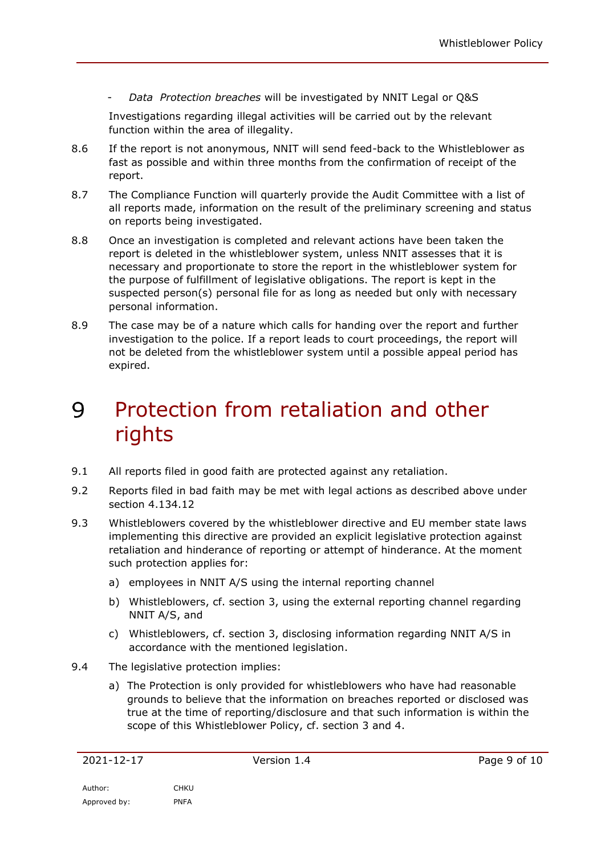- *Data Protection breaches* will be investigated by NNIT Legal or Q&S

Investigations regarding illegal activities will be carried out by the relevant function within the area of illegality.

- 8.6 If the report is not anonymous, NNIT will send feed-back to the Whistleblower as fast as possible and within three months from the confirmation of receipt of the report.
- 8.7 The Compliance Function will quarterly provide the Audit Committee with a list of all reports made, information on the result of the preliminary screening and status on reports being investigated.
- 8.8 Once an investigation is completed and relevant actions have been taken the report is deleted in the whistleblower system, unless NNIT assesses that it is necessary and proportionate to store the report in the whistleblower system for the purpose of fulfillment of legislative obligations. The report is kept in the suspected person(s) personal file for as long as needed but only with necessary personal information.
- 8.9 The case may be of a nature which calls for handing over the report and further investigation to the police. If a report leads to court proceedings, the report will not be deleted from the whistleblower system until a possible appeal period has expired.

# 9 Protection from retaliation and other rights

- 9.1 All reports filed in good faith are protected against any retaliation.
- 9.2 Reports filed in bad faith may be met with legal actions as described above under section 4.1[34.12](#page-5-0)
- 9.3 Whistleblowers covered by the whistleblower directive and EU member state laws implementing this directive are provided an explicit legislative protection against retaliation and hinderance of reporting or attempt of hinderance. At the moment such protection applies for:
	- a) employees in NNIT A/S using the internal reporting channel
	- b) Whistleblowers, cf. section 3, using the external reporting channel regarding NNIT A/S, and
	- c) Whistleblowers, cf. section 3, disclosing information regarding NNIT A/S in accordance with the mentioned legislation.
- 9.4 The legislative protection implies:
	- a) The Protection is only provided for whistleblowers who have had reasonable grounds to believe that the information on breaches reported or disclosed was true at the time of reporting/disclosure and that such information is within the scope of this Whistleblower Policy, cf. section 3 and 4.